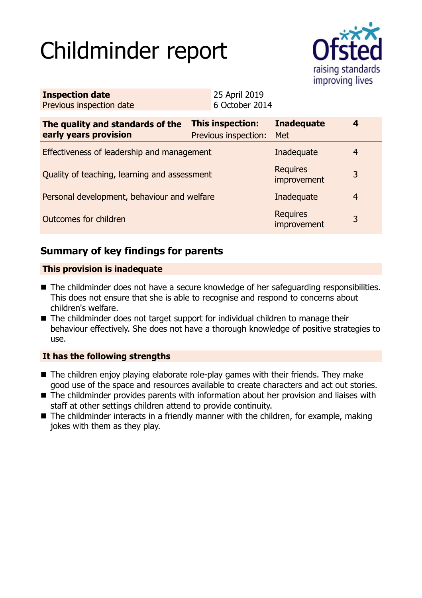# Childminder report



| <b>Inspection date</b>   | 25 April 2019  |
|--------------------------|----------------|
| Previous inspection date | 6 October 2014 |

| The quality and standards of the<br>early years provision | This inspection:<br>Previous inspection: | <b>Inadequate</b><br>Met       | 4 |
|-----------------------------------------------------------|------------------------------------------|--------------------------------|---|
| Effectiveness of leadership and management                |                                          | Inadequate                     | 4 |
| Quality of teaching, learning and assessment              |                                          | <b>Requires</b><br>improvement | 3 |
| Personal development, behaviour and welfare               |                                          | Inadequate                     | 4 |
| Outcomes for children                                     |                                          | <b>Requires</b><br>improvement | 3 |

## **Summary of key findings for parents**

#### **This provision is inadequate**

- The childminder does not have a secure knowledge of her safeguarding responsibilities. This does not ensure that she is able to recognise and respond to concerns about children's welfare.
- $\blacksquare$  The childminder does not target support for individual children to manage their behaviour effectively. She does not have a thorough knowledge of positive strategies to use.

## **It has the following strengths**

- $\blacksquare$  The children enjoy playing elaborate role-play games with their friends. They make good use of the space and resources available to create characters and act out stories.
- The childminder provides parents with information about her provision and liaises with staff at other settings children attend to provide continuity.
- $\blacksquare$  The childminder interacts in a friendly manner with the children, for example, making jokes with them as they play.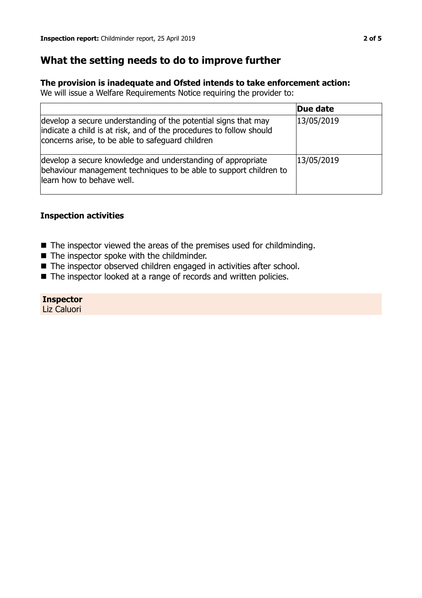## **What the setting needs to do to improve further**

#### **The provision is inadequate and Ofsted intends to take enforcement action:**

We will issue a Welfare Requirements Notice requiring the provider to:

|                                                                                                                                                                                           | Due date   |
|-------------------------------------------------------------------------------------------------------------------------------------------------------------------------------------------|------------|
| develop a secure understanding of the potential signs that may<br>indicate a child is at risk, and of the procedures to follow should<br>concerns arise, to be able to safeguard children | 13/05/2019 |
| develop a secure knowledge and understanding of appropriate<br>behaviour management techniques to be able to support children to<br>learn how to behave well.                             | 13/05/2019 |

## **Inspection activities**

- $\blacksquare$  The inspector viewed the areas of the premises used for childminding.
- $\blacksquare$  The inspector spoke with the childminder.
- The inspector observed children engaged in activities after school.
- The inspector looked at a range of records and written policies.

**Inspector** Liz Caluori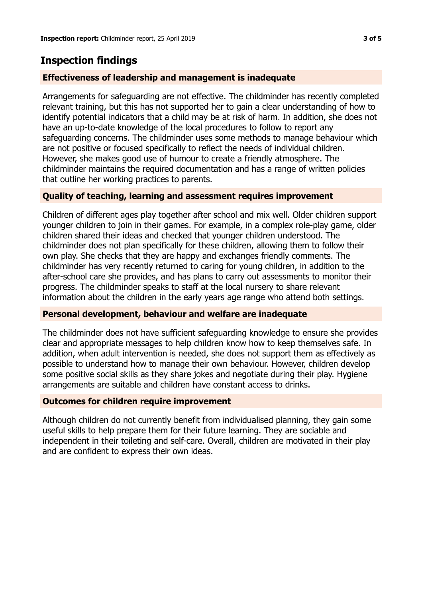## **Inspection findings**

## **Effectiveness of leadership and management is inadequate**

Arrangements for safeguarding are not effective. The childminder has recently completed relevant training, but this has not supported her to gain a clear understanding of how to identify potential indicators that a child may be at risk of harm. In addition, she does not have an up-to-date knowledge of the local procedures to follow to report any safeguarding concerns. The childminder uses some methods to manage behaviour which are not positive or focused specifically to reflect the needs of individual children. However, she makes good use of humour to create a friendly atmosphere. The childminder maintains the required documentation and has a range of written policies that outline her working practices to parents.

## **Quality of teaching, learning and assessment requires improvement**

Children of different ages play together after school and mix well. Older children support younger children to join in their games. For example, in a complex role-play game, older children shared their ideas and checked that younger children understood. The childminder does not plan specifically for these children, allowing them to follow their own play. She checks that they are happy and exchanges friendly comments. The childminder has very recently returned to caring for young children, in addition to the after-school care she provides, and has plans to carry out assessments to monitor their progress. The childminder speaks to staff at the local nursery to share relevant information about the children in the early years age range who attend both settings.

## **Personal development, behaviour and welfare are inadequate**

The childminder does not have sufficient safeguarding knowledge to ensure she provides clear and appropriate messages to help children know how to keep themselves safe. In addition, when adult intervention is needed, she does not support them as effectively as possible to understand how to manage their own behaviour. However, children develop some positive social skills as they share jokes and negotiate during their play. Hygiene arrangements are suitable and children have constant access to drinks.

## **Outcomes for children require improvement**

Although children do not currently benefit from individualised planning, they gain some useful skills to help prepare them for their future learning. They are sociable and independent in their toileting and self-care. Overall, children are motivated in their play and are confident to express their own ideas.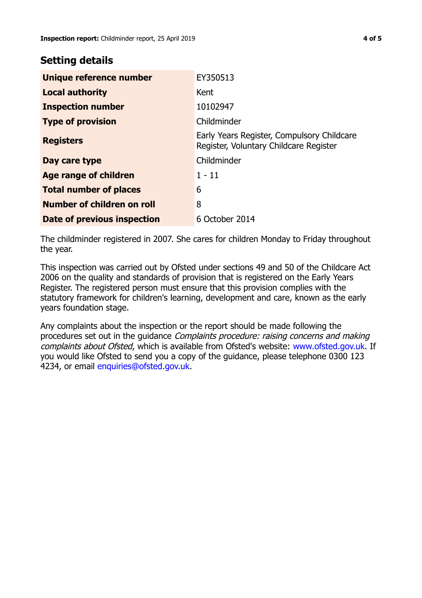## **Setting details**

| Unique reference number       | EY350513                                                                             |
|-------------------------------|--------------------------------------------------------------------------------------|
| <b>Local authority</b>        | Kent                                                                                 |
| <b>Inspection number</b>      | 10102947                                                                             |
| <b>Type of provision</b>      | Childminder                                                                          |
| <b>Registers</b>              | Early Years Register, Compulsory Childcare<br>Register, Voluntary Childcare Register |
| Day care type                 | Childminder                                                                          |
| Age range of children         | $1 - 11$                                                                             |
| <b>Total number of places</b> | 6                                                                                    |
| Number of children on roll    | 8                                                                                    |
| Date of previous inspection   | 6 October 2014                                                                       |

The childminder registered in 2007. She cares for children Monday to Friday throughout the year.

This inspection was carried out by Ofsted under sections 49 and 50 of the Childcare Act 2006 on the quality and standards of provision that is registered on the Early Years Register. The registered person must ensure that this provision complies with the statutory framework for children's learning, development and care, known as the early years foundation stage.

Any complaints about the inspection or the report should be made following the procedures set out in the guidance Complaints procedure: raising concerns and making complaints about Ofsted, which is available from Ofsted's website: www.ofsted.gov.uk. If you would like Ofsted to send you a copy of the guidance, please telephone 0300 123 4234, or email [enquiries@ofsted.gov.uk.](mailto:enquiries@ofsted.gov.uk)